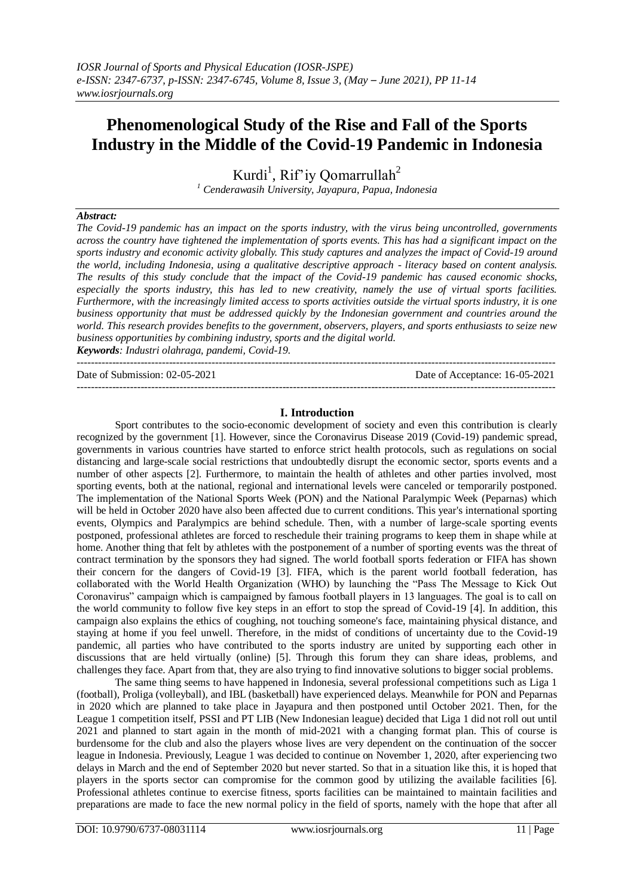# **Phenomenological Study of the Rise and Fall of the Sports Industry in the Middle of the Covid-19 Pandemic in Indonesia**

Kurdi<sup>1</sup>, Rif'iy Qomarrullah<sup>2</sup> *<sup>1</sup> Cenderawasih University, Jayapura, Papua, Indonesia*

## *Abstract:*

*The Covid-19 pandemic has an impact on the sports industry, with the virus being uncontrolled, governments across the country have tightened the implementation of sports events. This has had a significant impact on the sports industry and economic activity globally. This study captures and analyzes the impact of Covid-19 around the world, including Indonesia, using a qualitative descriptive approach - literacy based on content analysis. The results of this study conclude that the impact of the Covid-19 pandemic has caused economic shocks, especially the sports industry, this has led to new creativity, namely the use of virtual sports facilities. Furthermore, with the increasingly limited access to sports activities outside the virtual sports industry, it is one business opportunity that must be addressed quickly by the Indonesian government and countries around the world. This research provides benefits to the government, observers, players, and sports enthusiasts to seize new business opportunities by combining industry, sports and the digital world. Keywords: Industri olahraga, pandemi, Covid-19.*

--------------------------------------------------------------------------------------------------------------------------------------- Date of Submission: 02-05-2021 Date of Acceptance: 16-05-2021

## **I. Introduction**

---------------------------------------------------------------------------------------------------------------------------------------

Sport contributes to the socio-economic development of society and even this contribution is clearly recognized by the government [1]. However, since the Coronavirus Disease 2019 (Covid-19) pandemic spread, governments in various countries have started to enforce strict health protocols, such as regulations on social distancing and large-scale social restrictions that undoubtedly disrupt the economic sector, sports events and a number of other aspects [2]. Furthermore, to maintain the health of athletes and other parties involved, most sporting events, both at the national, regional and international levels were canceled or temporarily postponed. The implementation of the National Sports Week (PON) and the National Paralympic Week (Peparnas) which will be held in October 2020 have also been affected due to current conditions. This year's international sporting events, Olympics and Paralympics are behind schedule. Then, with a number of large-scale sporting events postponed, professional athletes are forced to reschedule their training programs to keep them in shape while at home. Another thing that felt by athletes with the postponement of a number of sporting events was the threat of contract termination by the sponsors they had signed. The world football sports federation or FIFA has shown their concern for the dangers of Covid-19 [3]. FIFA, which is the parent world football federation, has collaborated with the World Health Organization (WHO) by launching the "Pass The Message to Kick Out Coronavirus" campaign which is campaigned by famous football players in 13 languages. The goal is to call on the world community to follow five key steps in an effort to stop the spread of Covid-19 [4]. In addition, this campaign also explains the ethics of coughing, not touching someone's face, maintaining physical distance, and staying at home if you feel unwell. Therefore, in the midst of conditions of uncertainty due to the Covid-19 pandemic, all parties who have contributed to the sports industry are united by supporting each other in discussions that are held virtually (online) [5]. Through this forum they can share ideas, problems, and challenges they face. Apart from that, they are also trying to find innovative solutions to bigger social problems.

The same thing seems to have happened in Indonesia, several professional competitions such as Liga 1 (football), Proliga (volleyball), and IBL (basketball) have experienced delays. Meanwhile for PON and Peparnas in 2020 which are planned to take place in Jayapura and then postponed until October 2021. Then, for the League 1 competition itself, PSSI and PT LIB (New Indonesian league) decided that Liga 1 did not roll out until 2021 and planned to start again in the month of mid-2021 with a changing format plan. This of course is burdensome for the club and also the players whose lives are very dependent on the continuation of the soccer league in Indonesia. Previously, League 1 was decided to continue on November 1, 2020, after experiencing two delays in March and the end of September 2020 but never started. So that in a situation like this, it is hoped that players in the sports sector can compromise for the common good by utilizing the available facilities [6]. Professional athletes continue to exercise fitness, sports facilities can be maintained to maintain facilities and preparations are made to face the new normal policy in the field of sports, namely with the hope that after all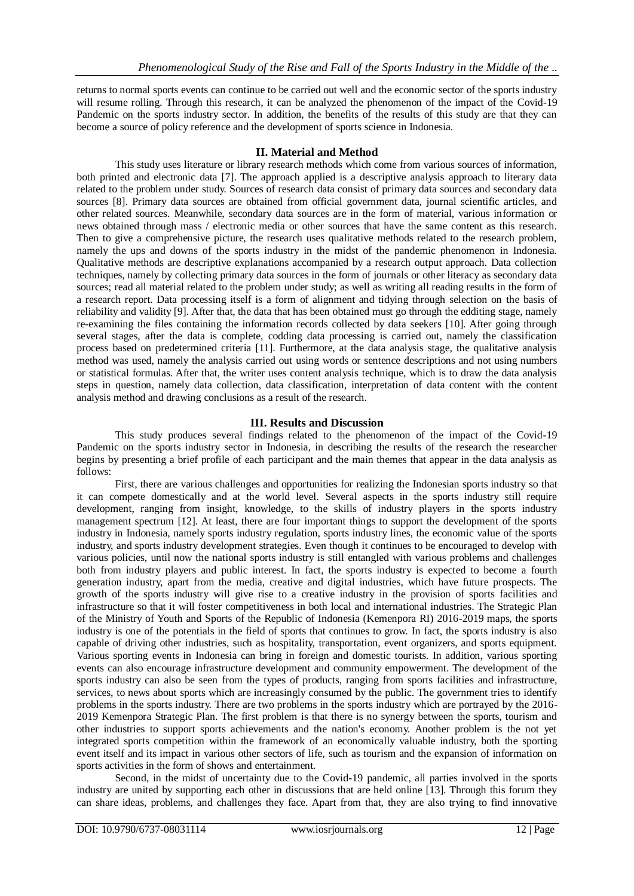returns to normal sports events can continue to be carried out well and the economic sector of the sports industry will resume rolling. Through this research, it can be analyzed the phenomenon of the impact of the Covid-19 Pandemic on the sports industry sector. In addition, the benefits of the results of this study are that they can become a source of policy reference and the development of sports science in Indonesia.

## **II. Material and Method**

This study uses literature or library research methods which come from various sources of information, both printed and electronic data [7]. The approach applied is a descriptive analysis approach to literary data related to the problem under study. Sources of research data consist of primary data sources and secondary data sources [8]. Primary data sources are obtained from official government data, journal scientific articles, and other related sources. Meanwhile, secondary data sources are in the form of material, various information or news obtained through mass / electronic media or other sources that have the same content as this research. Then to give a comprehensive picture, the research uses qualitative methods related to the research problem, namely the ups and downs of the sports industry in the midst of the pandemic phenomenon in Indonesia. Qualitative methods are descriptive explanations accompanied by a research output approach. Data collection techniques, namely by collecting primary data sources in the form of journals or other literacy as secondary data sources; read all material related to the problem under study; as well as writing all reading results in the form of a research report. Data processing itself is a form of alignment and tidying through selection on the basis of reliability and validity [9]. After that, the data that has been obtained must go through the edditing stage, namely re-examining the files containing the information records collected by data seekers [10]. After going through several stages, after the data is complete, codding data processing is carried out, namely the classification process based on predetermined criteria [11]. Furthermore, at the data analysis stage, the qualitative analysis method was used, namely the analysis carried out using words or sentence descriptions and not using numbers or statistical formulas. After that, the writer uses content analysis technique, which is to draw the data analysis steps in question, namely data collection, data classification, interpretation of data content with the content analysis method and drawing conclusions as a result of the research.

# **III. Results and Discussion**

This study produces several findings related to the phenomenon of the impact of the Covid-19 Pandemic on the sports industry sector in Indonesia, in describing the results of the research the researcher begins by presenting a brief profile of each participant and the main themes that appear in the data analysis as follows:

First, there are various challenges and opportunities for realizing the Indonesian sports industry so that it can compete domestically and at the world level. Several aspects in the sports industry still require development, ranging from insight, knowledge, to the skills of industry players in the sports industry management spectrum [12]. At least, there are four important things to support the development of the sports industry in Indonesia, namely sports industry regulation, sports industry lines, the economic value of the sports industry, and sports industry development strategies. Even though it continues to be encouraged to develop with various policies, until now the national sports industry is still entangled with various problems and challenges both from industry players and public interest. In fact, the sports industry is expected to become a fourth generation industry, apart from the media, creative and digital industries, which have future prospects. The growth of the sports industry will give rise to a creative industry in the provision of sports facilities and infrastructure so that it will foster competitiveness in both local and international industries. The Strategic Plan of the Ministry of Youth and Sports of the Republic of Indonesia (Kemenpora RI) 2016-2019 maps, the sports industry is one of the potentials in the field of sports that continues to grow. In fact, the sports industry is also capable of driving other industries, such as hospitality, transportation, event organizers, and sports equipment. Various sporting events in Indonesia can bring in foreign and domestic tourists. In addition, various sporting events can also encourage infrastructure development and community empowerment. The development of the sports industry can also be seen from the types of products, ranging from sports facilities and infrastructure, services, to news about sports which are increasingly consumed by the public. The government tries to identify problems in the sports industry. There are two problems in the sports industry which are portrayed by the 2016- 2019 Kemenpora Strategic Plan. The first problem is that there is no synergy between the sports, tourism and other industries to support sports achievements and the nation's economy. Another problem is the not yet integrated sports competition within the framework of an economically valuable industry, both the sporting event itself and its impact in various other sectors of life, such as tourism and the expansion of information on sports activities in the form of shows and entertainment.

Second, in the midst of uncertainty due to the Covid-19 pandemic, all parties involved in the sports industry are united by supporting each other in discussions that are held online [13]. Through this forum they can share ideas, problems, and challenges they face. Apart from that, they are also trying to find innovative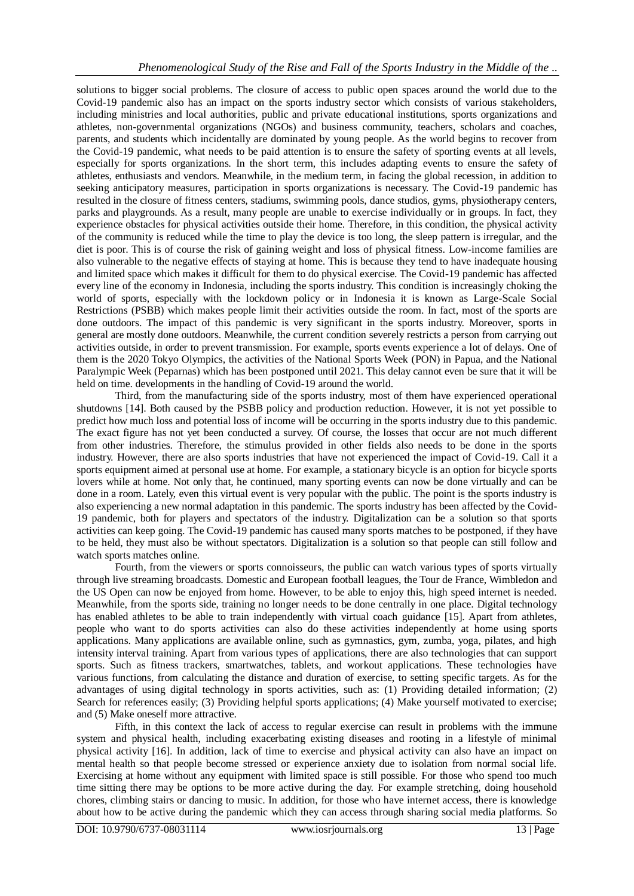solutions to bigger social problems. The closure of access to public open spaces around the world due to the Covid-19 pandemic also has an impact on the sports industry sector which consists of various stakeholders, including ministries and local authorities, public and private educational institutions, sports organizations and athletes, non-governmental organizations (NGOs) and business community, teachers, scholars and coaches, parents, and students which incidentally are dominated by young people. As the world begins to recover from the Covid-19 pandemic, what needs to be paid attention is to ensure the safety of sporting events at all levels, especially for sports organizations. In the short term, this includes adapting events to ensure the safety of athletes, enthusiasts and vendors. Meanwhile, in the medium term, in facing the global recession, in addition to seeking anticipatory measures, participation in sports organizations is necessary. The Covid-19 pandemic has resulted in the closure of fitness centers, stadiums, swimming pools, dance studios, gyms, physiotherapy centers, parks and playgrounds. As a result, many people are unable to exercise individually or in groups. In fact, they experience obstacles for physical activities outside their home. Therefore, in this condition, the physical activity of the community is reduced while the time to play the device is too long, the sleep pattern is irregular, and the diet is poor. This is of course the risk of gaining weight and loss of physical fitness. Low-income families are also vulnerable to the negative effects of staying at home. This is because they tend to have inadequate housing and limited space which makes it difficult for them to do physical exercise. The Covid-19 pandemic has affected every line of the economy in Indonesia, including the sports industry. This condition is increasingly choking the world of sports, especially with the lockdown policy or in Indonesia it is known as Large-Scale Social Restrictions (PSBB) which makes people limit their activities outside the room. In fact, most of the sports are done outdoors. The impact of this pandemic is very significant in the sports industry. Moreover, sports in general are mostly done outdoors. Meanwhile, the current condition severely restricts a person from carrying out activities outside, in order to prevent transmission. For example, sports events experience a lot of delays. One of them is the 2020 Tokyo Olympics, the activities of the National Sports Week (PON) in Papua, and the National Paralympic Week (Peparnas) which has been postponed until 2021. This delay cannot even be sure that it will be held on time. developments in the handling of Covid-19 around the world.

Third, from the manufacturing side of the sports industry, most of them have experienced operational shutdowns [14]. Both caused by the PSBB policy and production reduction. However, it is not yet possible to predict how much loss and potential loss of income will be occurring in the sports industry due to this pandemic. The exact figure has not yet been conducted a survey. Of course, the losses that occur are not much different from other industries. Therefore, the stimulus provided in other fields also needs to be done in the sports industry. However, there are also sports industries that have not experienced the impact of Covid-19. Call it a sports equipment aimed at personal use at home. For example, a stationary bicycle is an option for bicycle sports lovers while at home. Not only that, he continued, many sporting events can now be done virtually and can be done in a room. Lately, even this virtual event is very popular with the public. The point is the sports industry is also experiencing a new normal adaptation in this pandemic. The sports industry has been affected by the Covid-19 pandemic, both for players and spectators of the industry. Digitalization can be a solution so that sports activities can keep going. The Covid-19 pandemic has caused many sports matches to be postponed, if they have to be held, they must also be without spectators. Digitalization is a solution so that people can still follow and watch sports matches online.

Fourth, from the viewers or sports connoisseurs, the public can watch various types of sports virtually through live streaming broadcasts. Domestic and European football leagues, the Tour de France, Wimbledon and the US Open can now be enjoyed from home. However, to be able to enjoy this, high speed internet is needed. Meanwhile, from the sports side, training no longer needs to be done centrally in one place. Digital technology has enabled athletes to be able to train independently with virtual coach guidance [15]. Apart from athletes, people who want to do sports activities can also do these activities independently at home using sports applications. Many applications are available online, such as gymnastics, gym, zumba, yoga, pilates, and high intensity interval training. Apart from various types of applications, there are also technologies that can support sports. Such as fitness trackers, smartwatches, tablets, and workout applications. These technologies have various functions, from calculating the distance and duration of exercise, to setting specific targets. As for the advantages of using digital technology in sports activities, such as: (1) Providing detailed information; (2) Search for references easily; (3) Providing helpful sports applications; (4) Make yourself motivated to exercise; and (5) Make oneself more attractive.

Fifth, in this context the lack of access to regular exercise can result in problems with the immune system and physical health, including exacerbating existing diseases and rooting in a lifestyle of minimal physical activity [16]. In addition, lack of time to exercise and physical activity can also have an impact on mental health so that people become stressed or experience anxiety due to isolation from normal social life. Exercising at home without any equipment with limited space is still possible. For those who spend too much time sitting there may be options to be more active during the day. For example stretching, doing household chores, climbing stairs or dancing to music. In addition, for those who have internet access, there is knowledge about how to be active during the pandemic which they can access through sharing social media platforms. So